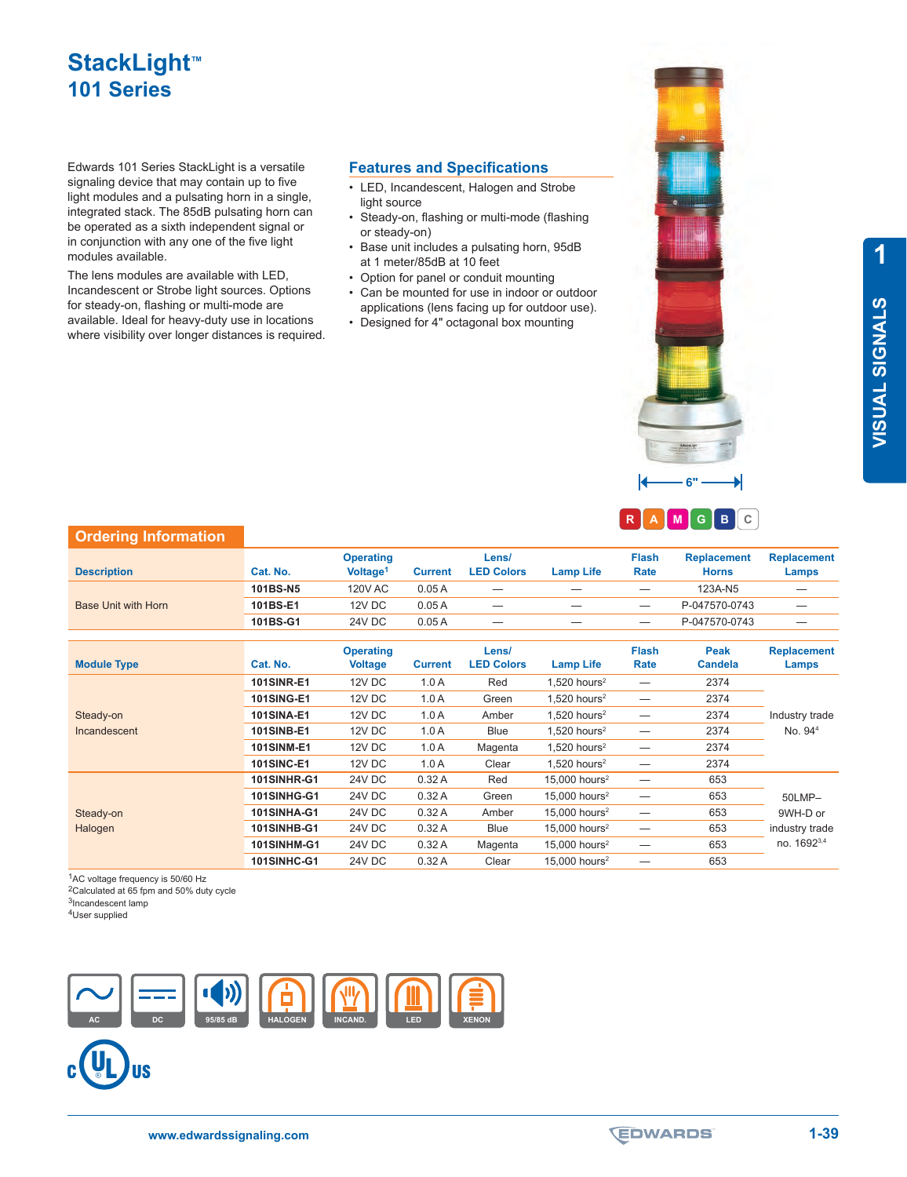# **StackLight™ 101 Series**

Edwards 101 Series StackLight is a versatile signaling device that may contain up to five light modules and a pulsating horn in a single, integrated stack. The 85dB pulsating horn can be operated as a sixth independent signal or in conjunction with any one of the five light modules available.

The lens modules are available with LED, Incandescent or Strobe light sources. Options for steady-on, flashing or multi-mode are available. Ideal for heavy-duty use in locations where visibility over longer distances is required.

#### **Features and Specifications**

- light source
- Steady-on, flashing or multi-mode (flashing or steady-on)
- Base unit includes a pulsating horn, 95dB at 1 meter/85dB at 10 feet
- Option for panel or conduit mounting
- Can be mounted for use in indoor or outdoor applications (lens facing up for outdoor use).
- Designed for 4" octagonal box mounting

• LED, Incandescent, Halogen and Strobe

**1 VISUAL SIGNALS VISUAL SIGNALS**



**6"**

## **Ordering Information**

| <b>Description</b>         | Cat. No. | <b>Operating</b><br>Voltage <sup>1</sup> | <b>Current</b> | Lens/<br><b>LED Colors</b> | <b>Lamp Life</b> | Flash<br>Rate                   | <b>Replacement</b><br><b>Horns</b> | <b>Replacement</b><br>Lamps |
|----------------------------|----------|------------------------------------------|----------------|----------------------------|------------------|---------------------------------|------------------------------------|-----------------------------|
| <b>Base Unit with Horn</b> | 101BS-N5 | <b>120V AC</b>                           | 0.05A          | $\qquad \qquad -$          |                  | $\overline{\phantom{m}}$        | 123A-N5                            |                             |
|                            | 101BS-E1 | <b>12V DC</b>                            | 0.05A          |                            |                  |                                 | P-047570-0743                      | _                           |
|                            | 101BS-G1 | 24V DC                                   | 0.05A          |                            |                  | $\hspace{0.1mm}-\hspace{0.1mm}$ | P-047570-0743                      |                             |

| <b>Module Type</b> | Cat. No.           | <b>Operating</b><br><b>Voltage</b> | <b>Current</b> | Lens/<br><b>LED Colors</b> | <b>Lamp Life</b>            | <b>Flash</b><br>Rate     | Peak<br><b>Candela</b> | <b>Replacement</b><br>Lamps |
|--------------------|--------------------|------------------------------------|----------------|----------------------------|-----------------------------|--------------------------|------------------------|-----------------------------|
|                    | <b>101SINR-E1</b>  | 12V DC                             | 1.0A           | Red                        | $1.520$ hours <sup>2</sup>  |                          | 2374                   |                             |
|                    | <b>101SING-E1</b>  | 12V DC                             | 1.0A           | Green                      | $1.520$ hours <sup>2</sup>  |                          | 2374                   |                             |
| Steady-on          | <b>101SINA-E1</b>  | 12V DC                             | 1.0A           | Amber                      | $1.520$ hours <sup>2</sup>  |                          | 2374                   | Industry trade              |
| Incandescent       | <b>101SINB-E1</b>  | 12V DC                             | 1.0A           | Blue                       | $1,520$ hours <sup>2</sup>  | $\overline{\phantom{0}}$ | 2374                   | No. 94 <sup>4</sup>         |
|                    | <b>101SINM-E1</b>  | 12V DC                             | 1.0A           | Magenta                    | $1.520$ hours <sup>2</sup>  |                          | 2374                   |                             |
|                    | <b>101SINC-E1</b>  | 12V DC                             | 1.0A           | Clear                      | $1.520$ hours <sup>2</sup>  | —                        | 2374                   |                             |
|                    | <b>101SINHR-G1</b> | 24V DC                             | 0.32A          | Red                        | $15.000$ hours <sup>2</sup> |                          | 653                    |                             |
|                    | 101SINHG-G1        | <b>24V DC</b>                      | 0.32A          | Green                      | $15.000$ hours <sup>2</sup> |                          | 653                    | 50LMP-                      |
| Steady-on          | 101SINHA-G1        | 24V DC                             | 0.32A          | Amber                      | $15.000$ hours <sup>2</sup> | $\overline{\phantom{0}}$ | 653                    | 9WH-D or                    |
| Halogen            | <b>101SINHB-G1</b> | <b>24V DC</b>                      | 0.32A          | <b>Blue</b>                | $15.000$ hours <sup>2</sup> | $\overline{\phantom{0}}$ | 653                    | industry trade              |
|                    | <b>101SINHM-G1</b> | <b>24V DC</b>                      | 0.32A          | Magenta                    | $15.000$ hours <sup>2</sup> |                          | 653                    | no. 16923,4                 |
|                    | <b>101SINHC-G1</b> | 24V DC                             | 0.32A          | Clear                      | $15.000$ hours <sup>2</sup> |                          | 653                    |                             |

1AC voltage frequency is 50/60 Hz

<sup>2</sup>Calculated at 65 fpm and 50% duty cycle <sup>3</sup>Incandescent lamp

4User supplied



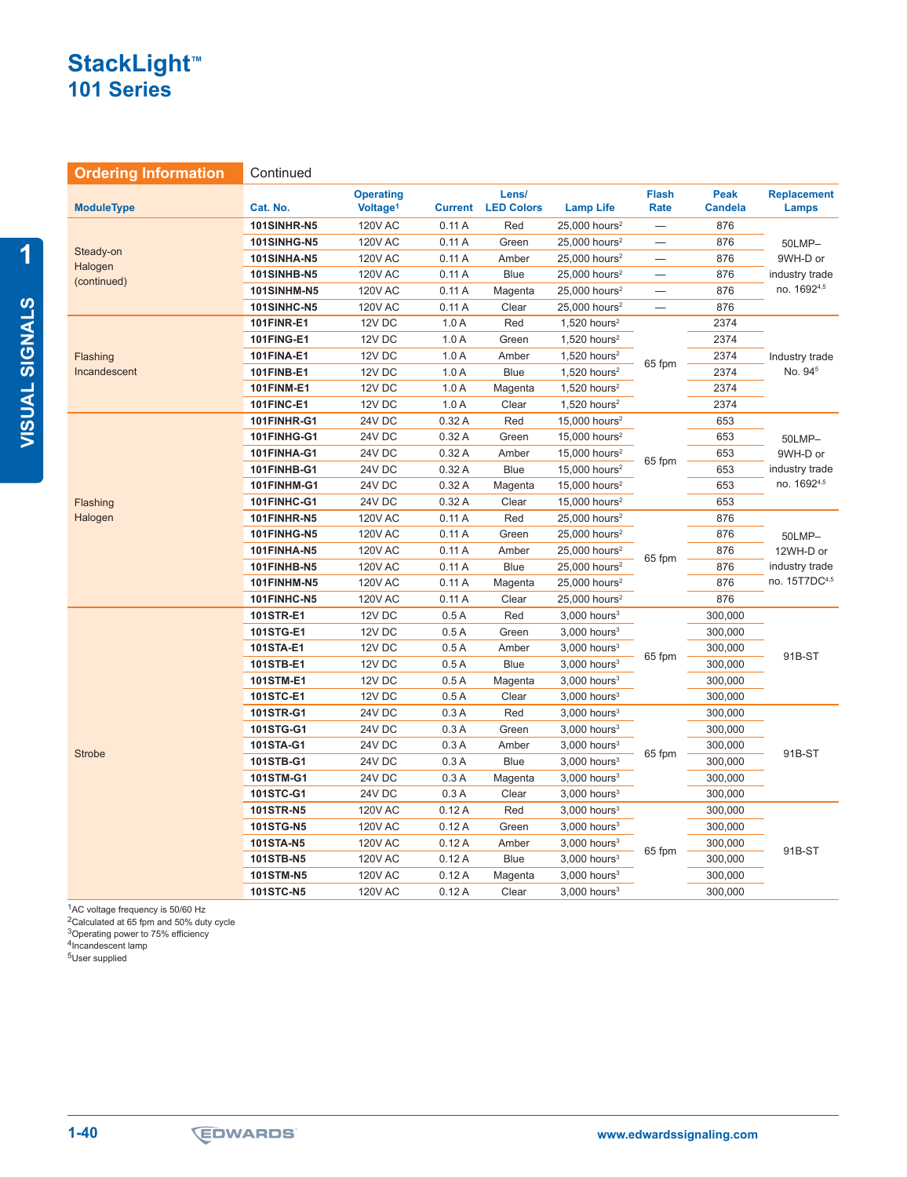## **StackLight™ 101 Series**

**Ordering Information Continued** 

| <b>ModuleType</b>                   | Cat. No.           | <b>Operating</b><br>Voltage <sup>1</sup> | <b>Current</b> | Lens/<br><b>LED Colors</b> | <b>Lamp Life</b>            | <b>Flash</b><br><b>Rate</b> | Peak<br><b>Candela</b> | <b>Replacement</b><br>Lamps           |
|-------------------------------------|--------------------|------------------------------------------|----------------|----------------------------|-----------------------------|-----------------------------|------------------------|---------------------------------------|
| Steady-on<br>Halogen<br>(continued) | <b>101SINHR-N5</b> | <b>120V AC</b>                           | 0.11A          | Red                        | $25,000$ hours <sup>2</sup> |                             | 876                    |                                       |
|                                     | 101SINHG-N5        | <b>120V AC</b>                           | 0.11A          | Green                      | 25,000 hours <sup>2</sup>   | $\overline{\phantom{0}}$    | 876                    | 50LMP-                                |
|                                     | <b>101SINHA-N5</b> | <b>120V AC</b>                           | 0.11A          | Amber                      | 25,000 hours <sup>2</sup>   |                             | 876                    | 9WH-D or                              |
|                                     | <b>101SINHB-N5</b> | <b>120V AC</b>                           | 0.11A          | <b>Blue</b>                | 25,000 hours <sup>2</sup>   | $\overline{\phantom{0}}$    | 876                    | industry trade                        |
|                                     | <b>101SINHM-N5</b> | <b>120V AC</b>                           | 0.11A          | Magenta                    | 25,000 hours <sup>2</sup>   | $\equiv$                    | 876                    | no. 16924,5                           |
|                                     | 101SINHC-N5        | <b>120V AC</b>                           | 0.11A          | Clear                      | $25,000$ hours <sup>2</sup> |                             | 876                    |                                       |
|                                     | 101FINR-E1         | 12V DC                                   | 1.0A           | Red                        | $1,520$ hours <sup>2</sup>  |                             | 2374                   |                                       |
|                                     | 101FING-E1         | 12V DC                                   | 1.0A           | Green                      | $1,520$ hours <sup>2</sup>  |                             | 2374                   | Industry trade<br>No. 94 <sup>5</sup> |
| Flashing                            | 101FINA-E1         | 12V DC                                   | 1.0A           | Amber                      | $1,520$ hours <sup>2</sup>  |                             | 2374                   |                                       |
| Incandescent                        | 101FINB-E1         | 12V DC                                   | 1.0A           | <b>Blue</b>                | $1,520$ hours <sup>2</sup>  | 65 fpm                      | 2374                   |                                       |
|                                     | 101FINM-E1         | 12V DC                                   | 1.0A           | Magenta                    | $1,520$ hours <sup>2</sup>  |                             | 2374                   |                                       |
|                                     | 101FINC-E1         | 12V DC                                   | 1.0A           | Clear                      | $1,520$ hours <sup>2</sup>  |                             | 2374                   |                                       |
|                                     | 101FINHR-G1        | 24V DC                                   | 0.32A          | Red                        | $15,000$ hours <sup>2</sup> |                             | 653                    |                                       |
|                                     | 101FINHG-G1        | <b>24V DC</b>                            | 0.32A          | Green                      | 15,000 hours <sup>2</sup>   |                             | 653                    | 50LMP-<br>9WH-D or<br>industry trade  |
|                                     | 101FINHA-G1        | <b>24V DC</b>                            | 0.32A          | Amber                      | 15,000 hours <sup>2</sup>   | 65 fpm                      | 653                    |                                       |
|                                     | 101FINHB-G1        | 24V DC                                   | 0.32A          | <b>Blue</b>                | 15,000 hours <sup>2</sup>   |                             | 653                    |                                       |
| Flashing<br>Halogen                 | 101FINHM-G1        | <b>24V DC</b>                            | 0.32A          | Magenta                    | 15,000 hours <sup>2</sup>   |                             | 653                    | no. 16924,5                           |
|                                     | 101FINHC-G1        | 24V DC                                   | 0.32A          | Clear                      | 15,000 hours <sup>2</sup>   |                             | 653                    |                                       |
|                                     | 101FINHR-N5        | <b>120V AC</b>                           | 0.11A          | Red                        | $25,000$ hours <sup>2</sup> |                             | 876                    |                                       |
|                                     | 101FINHG-N5        | <b>120V AC</b>                           | 0.11A          | Green                      | $25,000$ hours <sup>2</sup> |                             | 876                    | 50LMP-                                |
|                                     | 101FINHA-N5        | <b>120V AC</b>                           | 0.11A          | Amber                      | $25,000$ hours <sup>2</sup> | 65 fpm                      | 876                    | 12WH-D or                             |
|                                     | 101FINHB-N5        | <b>120V AC</b>                           | 0.11A          | <b>Blue</b>                | $25,000$ hours <sup>2</sup> |                             | 876                    | industry trade                        |
|                                     | 101FINHM-N5        | <b>120V AC</b>                           | 0.11A          | Magenta                    | $25,000$ hours <sup>2</sup> |                             | 876                    | no. 15T7DC4,5                         |
|                                     | 101FINHC-N5        | <b>120V AC</b>                           | 0.11A          | Clear                      | 25,000 hours <sup>2</sup>   |                             | 876                    |                                       |
|                                     | 101STR-E1          | 12V DC                                   | 0.5A           | Red                        | $3,000$ hours <sup>3</sup>  | 300,000                     |                        | 91B-ST                                |
|                                     | 101STG-E1          | 12V DC                                   | 0.5A           | Green                      | $3,000$ hours <sup>3</sup>  |                             | 300,000                |                                       |
|                                     | 101STA-E1          | 12V DC                                   | 0.5A           | Amber                      | $3,000$ hours <sup>3</sup>  | 65 fpm                      | 300,000                |                                       |
|                                     | 101STB-E1          | 12V DC                                   | 0.5A           | <b>Blue</b>                | $3,000$ hours <sup>3</sup>  |                             | 300,000                |                                       |
|                                     | 101STM-E1          | 12V DC                                   | 0.5A           | Magenta                    | $3,000$ hours <sup>3</sup>  |                             | 300,000                |                                       |
|                                     | 101STC-E1          | 12V DC                                   | 0.5A           | Clear                      | $3,000$ hours <sup>3</sup>  |                             | 300,000                |                                       |
|                                     | 101STR-G1          | 24V DC                                   | 0.3A           | Red                        | $3,000$ hours <sup>3</sup>  |                             | 300,000                |                                       |
|                                     | 101STG-G1          | <b>24V DC</b>                            | 0.3A           | Green                      | $3,000$ hours <sup>3</sup>  |                             | 300,000                |                                       |
| <b>Strobe</b>                       | 101STA-G1          | 24V DC                                   | 0.3A           | Amber                      | $3,000$ hours <sup>3</sup>  | 65 fpm                      | 300,000                | 91B-ST                                |
|                                     | 101STB-G1          | <b>24V DC</b>                            | 0.3A           | <b>Blue</b>                | $3,000$ hours <sup>3</sup>  |                             | 300,000                |                                       |
|                                     | 101STM-G1          | <b>24V DC</b>                            | 0.3A           | Magenta                    | $3,000$ hours <sup>3</sup>  |                             | 300,000                |                                       |
|                                     | 101STC-G1          | 24V DC                                   | 0.3A           | Clear                      | $3,000$ hours <sup>3</sup>  |                             | 300,000                |                                       |
|                                     | 101STR-N5          | <b>120V AC</b>                           | 0.12A          | Red                        | $3,000$ hours <sup>3</sup>  |                             | 300,000                |                                       |
|                                     | 101STG-N5          | <b>120V AC</b>                           | 0.12A          | Green                      | $3,000$ hours <sup>3</sup>  |                             | 300,000                |                                       |
|                                     | 101STA-N5          | <b>120V AC</b>                           | 0.12A          | Amber                      | $3,000$ hours <sup>3</sup>  | 65 fpm                      | 300,000                | 91B-ST                                |
|                                     | 101STB-N5          | <b>120V AC</b>                           | 0.12A          | <b>Blue</b>                | $3,000$ hours <sup>3</sup>  |                             | 300,000                |                                       |
|                                     | <b>101STM-N5</b>   | <b>120V AC</b>                           | 0.12A          | Magenta                    | $3,000$ hours <sup>3</sup>  |                             | 300,000                |                                       |
|                                     | 101STC-N5          | <b>120V AC</b>                           | 0.12A          | Clear                      | $3,000$ hours <sup>3</sup>  | 300,000                     |                        |                                       |

<sup>1</sup>AC voltage frequency is 50/60 Hz

<sup>2</sup>Calculated at 65 fpm and 50% duty cycle <sup>3</sup>Operating power to 75% efficiency 4Incandescent lamp

5User supplied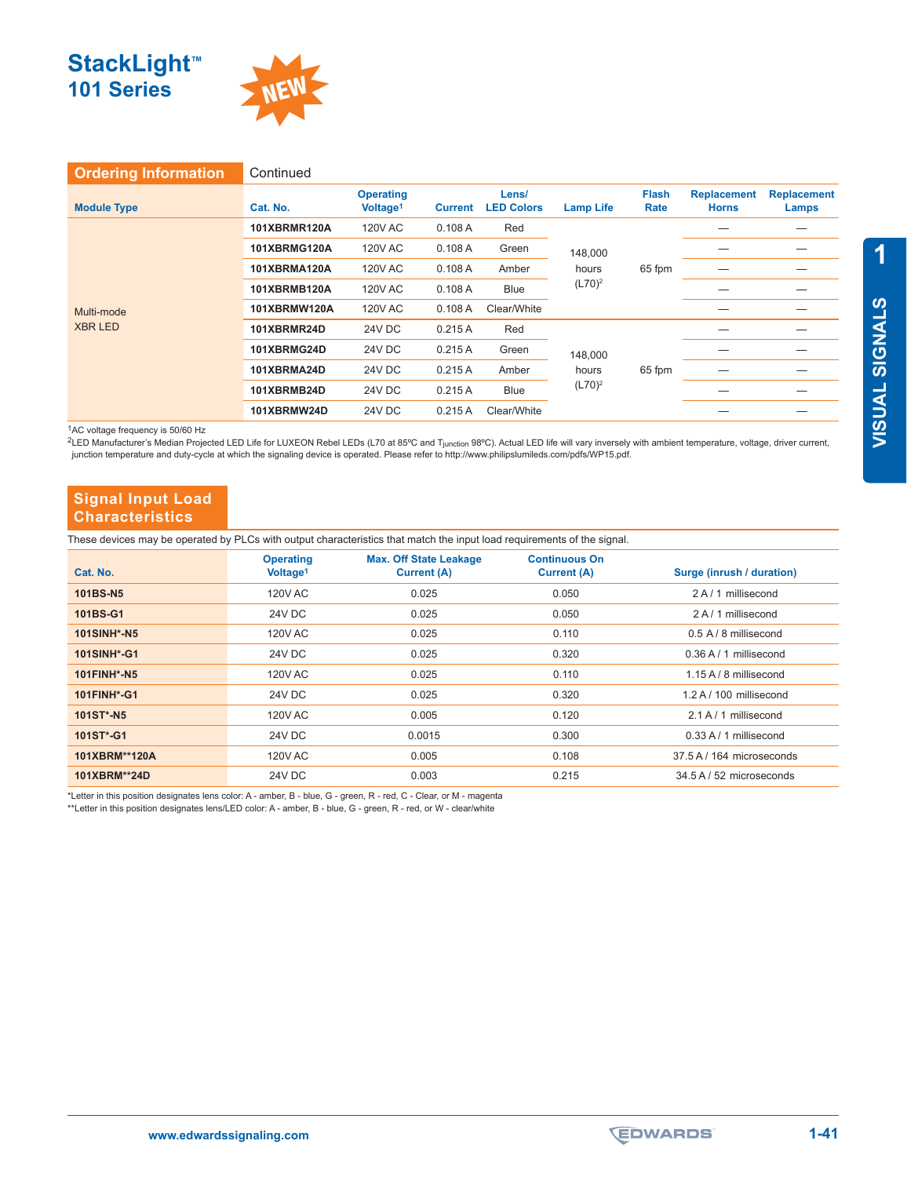



| <b>Ordering Information</b>  | Continued           |                                          |                |                            |                                         |                      |                                    |                             |
|------------------------------|---------------------|------------------------------------------|----------------|----------------------------|-----------------------------------------|----------------------|------------------------------------|-----------------------------|
| <b>Module Type</b>           | Cat. No.            | <b>Operating</b><br>Voltage <sup>1</sup> | <b>Current</b> | Lens/<br><b>LED Colors</b> | <b>Lamp Life</b>                        | <b>Flash</b><br>Rate | <b>Replacement</b><br><b>Horns</b> | <b>Replacement</b><br>Lamps |
|                              | <b>101XBRMR120A</b> | 120V AC                                  | 0.108A         | Red                        | 148,000<br>hours<br>$(L70)^2$           |                      |                                    |                             |
|                              | <b>101XBRMG120A</b> | <b>120V AC</b>                           | 0.108A         | Green                      |                                         |                      |                                    |                             |
| Multi-mode<br><b>XBR LED</b> | <b>101XBRMA120A</b> | 120V AC                                  | 0.108A         | Amber                      |                                         | 65 fpm               |                                    |                             |
|                              | <b>101XBRMB120A</b> | <b>120V AC</b>                           | 0.108A         | Blue                       |                                         |                      |                                    |                             |
|                              | <b>101XBRMW120A</b> | <b>120V AC</b>                           | 0.108A         | Clear/White                |                                         |                      |                                    |                             |
|                              | 101XBRMR24D         | 24V DC                                   | 0.215A         | Red                        | 148,000<br>65 fpm<br>hours<br>$(L70)^2$ |                      |                                    |                             |
|                              | 101XBRMG24D         | 24V DC                                   | 0.215A         | Green                      |                                         |                      |                                    |                             |
|                              | 101XBRMA24D         | 24V DC                                   | 0.215A         | Amber                      |                                         |                      |                                    |                             |
|                              | 101XBRMB24D         | 24V DC                                   | 0.215A         | Blue                       |                                         |                      |                                    |                             |
|                              | 101XBRMW24D         | <b>24V DC</b>                            | 0.215A         | Clear/White                |                                         |                      |                                    |                             |

1AC voltage frequency is 50/60 Hz

<sup>2</sup>LED Manufacturer's Median Projected LED Life for LUXEON Rebel LEDs (L70 at 85ºC and Tjunction 98ºC). Actual LED life will vary inversely with ambient temperature, voltage, driver current, junction temperature and duty-cycle at which the signaling device is operated. Please refer to http://www.philipslumileds.com/pdfs/WP15.pdf.

## **Signal Input Load Characteristics**

These devices may be operated by PLCs with output characteristics that match the input load requirements of the signal.

| Cat. No.           | <b>Operating</b><br>Voltage <sup>1</sup> | <b>Max. Off State Leakage</b><br><b>Current (A)</b> | <b>Continuous On</b><br><b>Current (A)</b> | Surge (inrush / duration)    |
|--------------------|------------------------------------------|-----------------------------------------------------|--------------------------------------------|------------------------------|
| 101BS-N5           | 120V AC                                  | 0.025                                               | 0.050                                      | 2 A / 1 millisecond          |
| 101BS-G1           | 24V DC                                   | 0.025                                               | 0.050                                      | 2 A / 1 millisecond          |
| <b>101SINH*-N5</b> | 120V AC                                  | 0.025                                               | 0.110                                      | $0.5$ A / 8 millisecond      |
| <b>101SINH*-G1</b> | 24V DC                                   | 0.025                                               | 0.320                                      | $0.36$ A $/$ 1 millisecond   |
| <b>101FINH*-N5</b> | 120V AC                                  | 0.025                                               | 0.110                                      | $1.15 A / 8$ millisecond     |
| 101FINH*-G1        | 24V DC                                   | 0.025                                               | 0.320                                      | 1.2 A / 100 millisecond      |
| 101ST*-N5          | 120V AC                                  | 0.005                                               | 0.120                                      | 2.1 A / 1 millisecond        |
| 101ST*-G1          | 24V DC                                   | 0.0015                                              | 0.300                                      | $0.33$ A $/$ 1 millisecond   |
| 101XBRM**120A      | 120V AC                                  | 0.005                                               | 0.108                                      | 37.5 A / 164 microseconds    |
| 101XBRM**24D       | 24V DC                                   | 0.003                                               | 0.215                                      | $34.5$ A $/$ 52 microseconds |

\*Letter in this position designates lens color: A - amber, B - blue, G - green, R - red, C - Clear, or M - magenta

\*\*Letter in this position designates lens/LED color: A - amber, B - blue, G - green, R - red, or W - clear/white

**1**